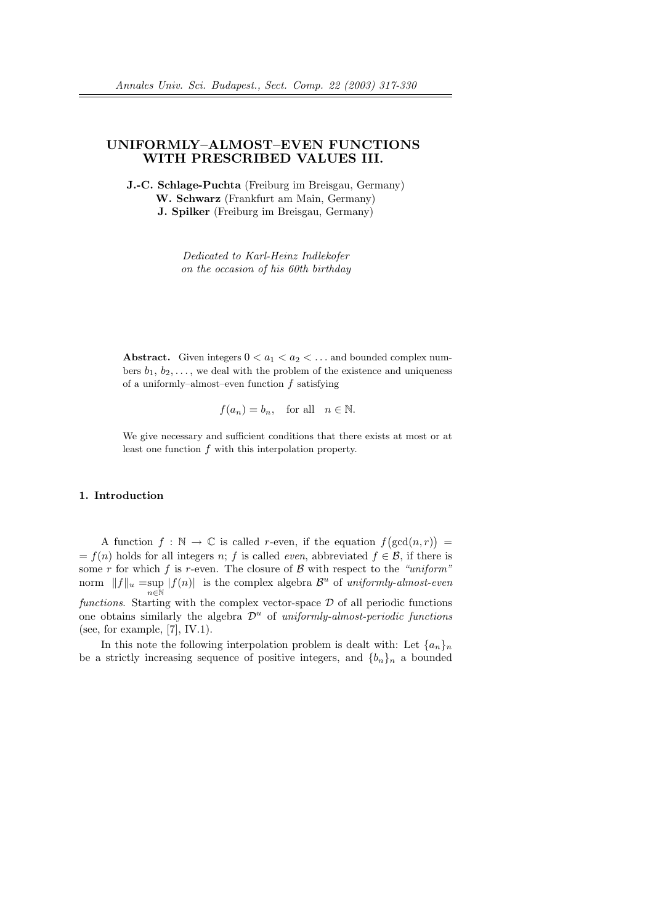# UNIFORMLY–ALMOST–EVEN FUNCTIONS WITH PRESCRIBED VALUES III.

J.-C. Schlage-Puchta (Freiburg im Breisgau, Germany) W. Schwarz (Frankfurt am Main, Germany) J. Spilker (Freiburg im Breisgau, Germany)

> Dedicated to Karl-Heinz Indlekofer on the occasion of his 60th birthday

Abstract. Given integers  $0 < a_1 < a_2 < \dots$  and bounded complex numbers  $b_1, b_2, \ldots$ , we deal with the problem of the existence and uniqueness of a uniformly–almost–even function  $f$  satisfying

 $f(a_n) = b_n$ , for all  $n \in \mathbb{N}$ .

We give necessary and sufficient conditions that there exists at most or at least one function f with this interpolation property.

## 1. Introduction

A function  $f : \mathbb{N} \to \mathbb{C}$  is called r-even, if the equation f ¡  $gcd(n, r)$ ¢ =  $= f(n)$  holds for all integers n; f is called *even*, abbreviated  $f \in \mathcal{B}$ , if there is some r for which f is r-even. The closure of  $\beta$  with respect to the "uniform" norm  $||f||_u = \sup |f(n)|$  is the complex algebra  $\mathcal{B}^u$  of uniformly-almost-even  $n \in \mathbb{N}$ functions. Starting with the complex vector-space  $\mathcal D$  of all periodic functions one obtains similarly the algebra  $\mathcal{D}^u$  of uniformly-almost-periodic functions (see, for example,  $[7]$ , IV.1).

In this note the following interpolation problem is dealt with: Let  ${a_n}_n$ be a strictly increasing sequence of positive integers, and  ${b_n}_n$  a bounded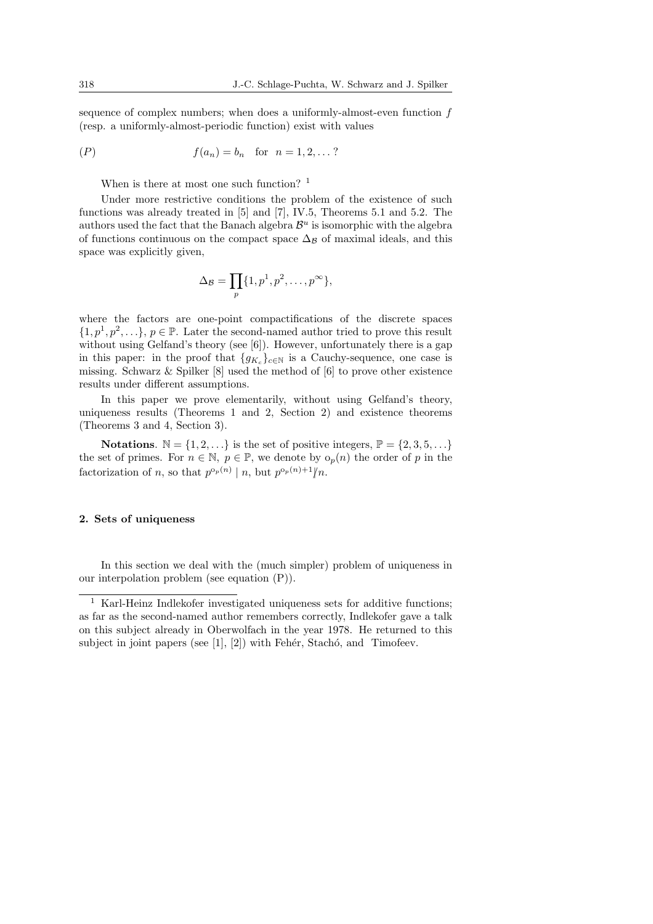sequence of complex numbers; when does a uniformly-almost-even function f (resp. a uniformly-almost-periodic function) exist with values

$$
(P) \t f(a_n) = b_n \t for n = 1, 2, ...?
$$

When is there at most one such function? <sup>1</sup>

Under more restrictive conditions the problem of the existence of such functions was already treated in [5] and [7], IV.5, Theorems 5.1 and 5.2. The authors used the fact that the Banach algebra  $\mathcal{B}^u$  is isomorphic with the algebra of functions continuous on the compact space  $\Delta_B$  of maximal ideals, and this space was explicitly given,

$$
\Delta_{\mathcal{B}} = \prod_{p} \{1, p^1, p^2, \dots, p^{\infty}\},
$$

where the factors are one-point compactifications of the discrete spaces  $\{1, p<sup>1</sup>, p<sup>2</sup>, \ldots\}, p \in \mathbb{P}$ . Later the second-named author tried to prove this result without using Gelfand's theory (see [6]). However, unfortunately there is a gap in this paper: in the proof that  $\{g_{K_c}\}_{c \in \mathbb{N}}$  is a Cauchy-sequence, one case is missing. Schwarz & Spilker [8] used the method of [6] to prove other existence results under different assumptions.

In this paper we prove elementarily, without using Gelfand's theory, uniqueness results (Theorems 1 and 2, Section 2) and existence theorems (Theorems 3 and 4, Section 3).

**Notations.**  $\mathbb{N} = \{1, 2, \ldots\}$  is the set of positive integers,  $\mathbb{P} = \{2, 3, 5, \ldots\}$ the set of primes. For  $n \in \mathbb{N}$ ,  $p \in \mathbb{P}$ , we denote by  $o_p(n)$  the order of p in the factorization of n, so that  $p^{\circ_p(n)} \mid n$ , but  $p^{\circ_p(n)+1} \nmid n$ .

### 2. Sets of uniqueness

In this section we deal with the (much simpler) problem of uniqueness in our interpolation problem (see equation (P)).

<sup>&</sup>lt;sup>1</sup> Karl-Heinz Indlekofer investigated uniqueness sets for additive functions; as far as the second-named author remembers correctly, Indlekofer gave a talk on this subject already in Oberwolfach in the year 1978. He returned to this subject in joint papers (see  $[1], [2]$ ) with Fehér, Stachó, and Timofeev.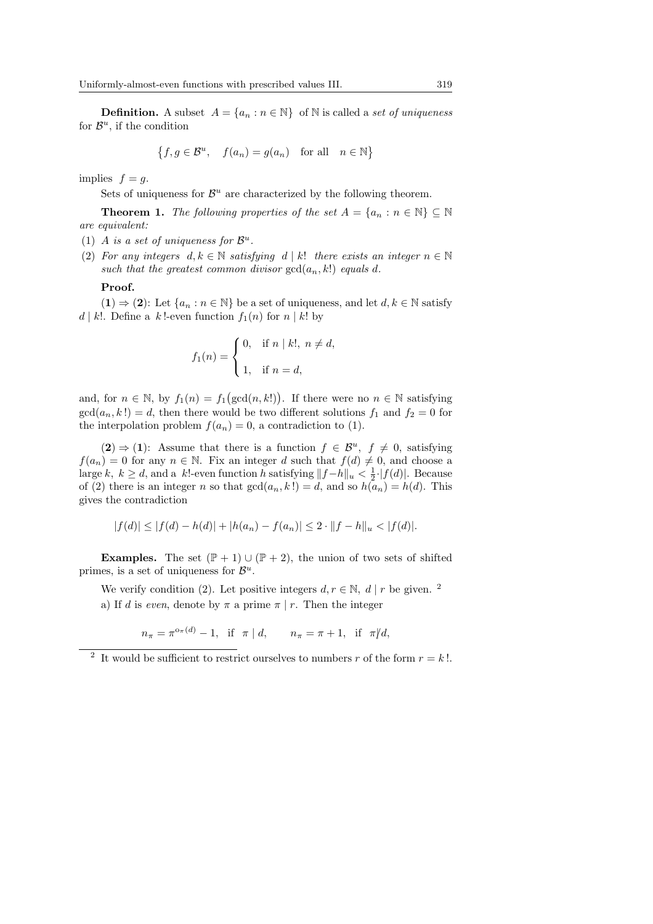**Definition.** A subset  $A = \{a_n : n \in \mathbb{N}\}\$  of N is called a set of uniqueness for  $\mathcal{B}^u$ , if the condition

$$
\{f, g \in \mathcal{B}^u, \quad f(a_n) = g(a_n) \quad \text{for all} \quad n \in \mathbb{N}\}
$$

implies  $f = q$ .

Sets of uniqueness for  $\mathcal{B}^u$  are characterized by the following theorem.

**Theorem 1.** The following properties of the set  $A = \{a_n : n \in \mathbb{N}\}\subseteq \mathbb{N}$ are equivalent:

- (1) A is a set of uniqueness for  $\mathcal{B}^u$ .
- (2) For any integers  $d, k \in \mathbb{N}$  satisfying  $d \mid k!$  there exists an integer  $n \in \mathbb{N}$ such that the greatest common divisor  $gcd(a_n, k!)$  equals d.

#### Proof.

 $(1) \Rightarrow (2)$ : Let  $\{a_n : n \in \mathbb{N}\}\$ be a set of uniqueness, and let  $d, k \in \mathbb{N}\$  satisfy d | k!. Define a k!-even function  $f_1(n)$  for  $n \mid k!$  by

$$
f_1(n) = \begin{cases} 0, & \text{if } n \mid k!, \ n \neq d, \\ 1, & \text{if } n = d, \end{cases}
$$

and, for  $n \in \mathbb{N}$ , by  $f_1(n) = f_1$  $(\gcd(n, k!) )$ . If there were no  $n \in \mathbb{N}$  satisfying  $gcd(a_n, k!) = d$ , then there would be two different solutions  $f_1$  and  $f_2 = 0$  for the interpolation problem  $f(a_n) = 0$ , a contradiction to (1).

 $(2) \Rightarrow (1)$ : Assume that there is a function  $f \in \mathcal{B}^u$ ,  $f \neq 0$ , satisfying  $f(a_n) = 0$  for any  $n \in \mathbb{N}$ . Fix an integer d such that  $f(d) \neq 0$ , and choose a large k, k ≥ d, and a k!-even function h satisfying  $||f-h||_u < \frac{1}{2}$  |f(d)|. Because of (2) there is an integer n so that  $gcd(a_n, k!) = d$ , and so  $h(a_n) = h(d)$ . This gives the contradiction

$$
|f(d)| \le |f(d) - h(d)| + |h(a_n) - f(a_n)| \le 2 \cdot ||f - h||_u < |f(d)|.
$$

**Examples.** The set  $(\mathbb{P} + 1) \cup (\mathbb{P} + 2)$ , the union of two sets of shifted primes, is a set of uniqueness for  $\mathcal{B}^u$ .

We verify condition (2). Let positive integers  $d, r \in \mathbb{N}, d \mid r$  be given. <sup>2</sup>

a) If d is even, denote by  $\pi$  a prime  $\pi | r$ . Then the integer

$$
n_{\pi} = \pi^{o_{\pi}(d)} - 1
$$
, if  $\pi | d$ ,  $n_{\pi} = \pi + 1$ , if  $\pi | d$ ,

<sup>&</sup>lt;sup>2</sup> It would be sufficient to restrict ourselves to numbers r of the form  $r = k!$ .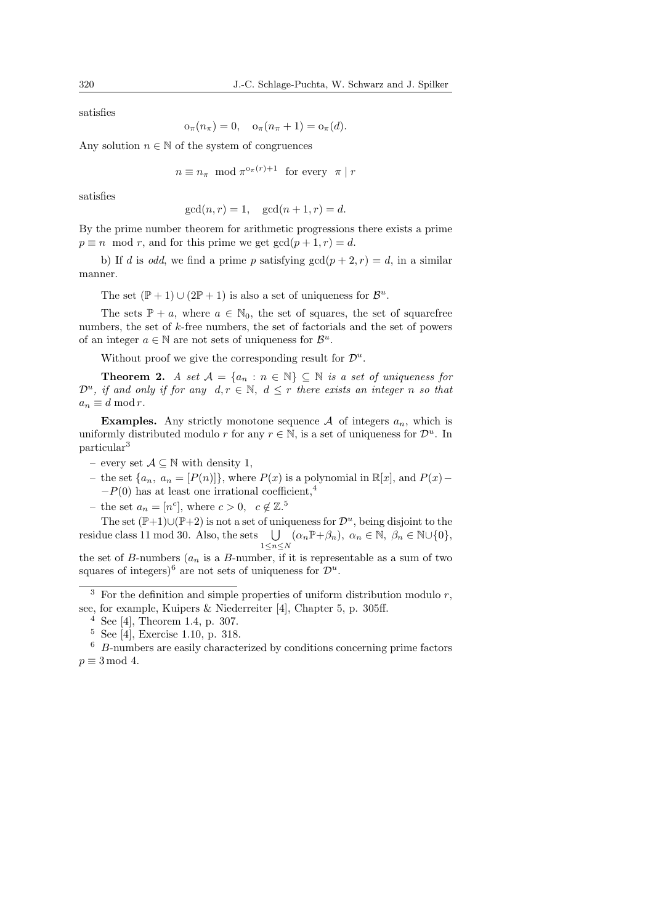satisfies

$$
o_{\pi}(n_{\pi}) = 0, \quad o_{\pi}(n_{\pi} + 1) = o_{\pi}(d).
$$

Any solution  $n \in \mathbb{N}$  of the system of congruences

$$
n \equiv n_{\pi} \mod \pi^{\circ_{\pi}(r)+1} \text{ for every } \pi \mid r
$$

satisfies

$$
gcd(n,r) = 1, gcd(n+1,r) = d.
$$

By the prime number theorem for arithmetic progressions there exists a prime  $p \equiv n \mod r$ , and for this prime we get  $gcd(p+1, r) = d$ .

b) If d is odd, we find a prime p satisfying  $gcd(p+2,r) = d$ , in a similar manner.

The set  $(\mathbb{P} + 1) \cup (2\mathbb{P} + 1)$  is also a set of uniqueness for  $\mathcal{B}^u$ .

The sets  $\mathbb{P} + a$ , where  $a \in \mathbb{N}_0$ , the set of squares, the set of squarefree numbers, the set of k-free numbers, the set of factorials and the set of powers of an integer  $a \in \mathbb{N}$  are not sets of uniqueness for  $\mathcal{B}^u$ .

Without proof we give the corresponding result for  $\mathcal{D}^u$ .

**Theorem 2.** A set  $\mathcal{A} = \{a_n : n \in \mathbb{N}\}\subseteq \mathbb{N}$  is a set of uniqueness for  $\mathcal{D}^u$ , if and only if for any  $d, r \in \mathbb{N}$ ,  $d \leq r$  there exists an integer n so that  $a_n \equiv d \mod r$ .

**Examples.** Any strictly monotone sequence A of integers  $a_n$ , which is uniformly distributed modulo r for any  $r \in \mathbb{N}$ , is a set of uniqueness for  $\mathcal{D}^u$ . In particular<sup>3</sup>

- every set  $\mathcal{A} \subseteq \mathbb{N}$  with density 1,
- the set {a<sub>n</sub>, a<sub>n</sub> = [P(n)]}, where P(x) is a polynomial in  $\mathbb{R}[x]$ , and P(x)−  $-P(0)$  has at least one irrational coefficient,<sup>4</sup>
- the set  $a_n = [n^c]$ , where  $c > 0$ ,  $c \notin \mathbb{Z}^5$ .

The set  $(\mathbb{P}+1)\cup(\mathbb{P}+2)$  is not a set of uniqueness for  $\mathcal{D}^u$ , being disjoint to the residue class 11 mod 30. Also, the sets  $\bigcup_{1 \leq n \leq N} (\alpha_n \mathbb{P} + \beta_n), \ \alpha_n \in \mathbb{N}, \ \beta_n \in \mathbb{N} \cup \{0\},\$ 

the set of B-numbers  $(a_n$  is a B-number, if it is representable as a sum of two squares of integers)<sup>6</sup> are not sets of uniqueness for  $\mathcal{D}^u$ .

 $3$  For the definition and simple properties of uniform distribution modulo  $r$ , see, for example, Kuipers & Niederreiter [4], Chapter 5, p. 305ff.

<sup>&</sup>lt;sup>4</sup> See [4], Theorem 1.4, p. 307.

<sup>5</sup> See [4], Exercise 1.10, p. 318.

 $6\,$  B-numbers are easily characterized by conditions concerning prime factors  $p \equiv 3 \mod 4$ .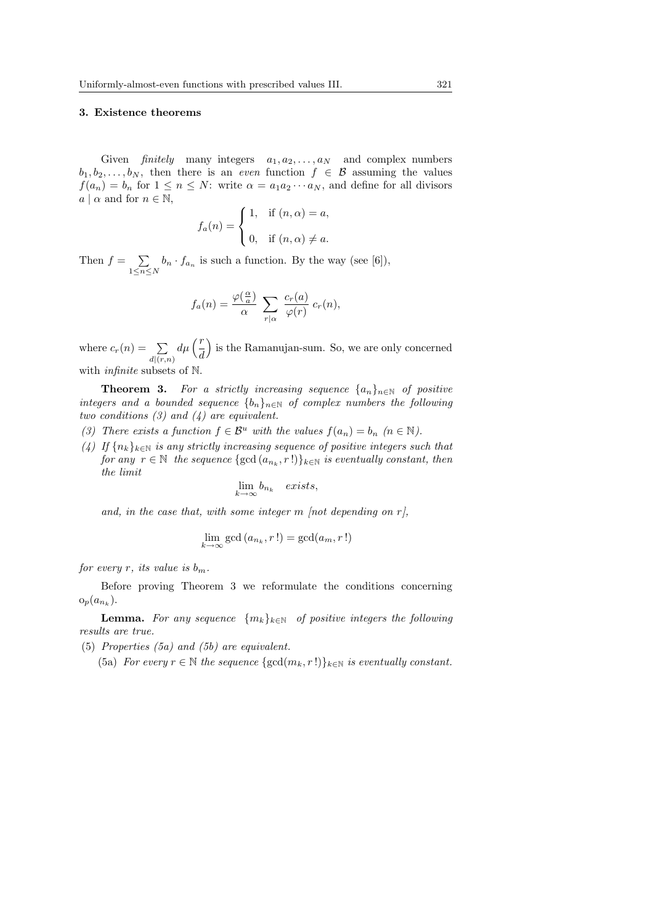#### 3. Existence theorems

Given finitely many integers  $a_1, a_2, \ldots, a_N$  and complex numbers  $b_1, b_2, \ldots, b_N$ , then there is an *even* function  $f \in \mathcal{B}$  assuming the values  $f(a_n) = b_n$  for  $1 \le n \le N$ : write  $\alpha = a_1 a_2 \cdots a_N$ , and define for all divisors  $a \mid \alpha$  and for  $n \in \mathbb{N}$ ,  $\overline{a}$ 

$$
f_a(n) = \begin{cases} 1, & \text{if } (n, \alpha) = a, \\ 0, & \text{if } (n, \alpha) \neq a. \end{cases}
$$

Then  $f = \sum$  $\sum_{1 \leq n \leq N} b_n \cdot f_{a_n}$  is such a function. By the way (see [6]),

$$
f_a(n) = \frac{\varphi(\frac{\alpha}{a})}{\alpha} \sum_{r|\alpha} \frac{c_r(a)}{\varphi(r)} c_r(n),
$$

where  $c_r(n) = \sum_{d|(r,n)}$  $d\mu\left(\frac{r}{d}\right)$ ´ is the Ramanujan-sum. So, we are only concerned with *infinite* subsets of N.

**Theorem 3.** For a strictly increasing sequence  $\{a_n\}_{n\in\mathbb{N}}$  of positive integers and a bounded sequence  ${b_n}_{n\in\mathbb{N}}$  of complex numbers the following two conditions  $(3)$  and  $(4)$  are equivalent.

- (3) There exists a function  $f \in \mathcal{B}^u$  with the values  $f(a_n) = b_n$   $(n \in \mathbb{N})$ .
- (4) If  ${n_k}_{k \in \mathbb{N}}$  is any strictly increasing sequence of positive integers such that for any  $r \in \mathbb{N}$  the sequence  $\{\gcd(a_{n_k}, r\,!\})_{k \in \mathbb{N}}$  is eventually constant, then the limit

$$
\lim_{k \to \infty} b_{n_k} \quad exists,
$$

and, in the case that, with some integer  $m$  [not depending on  $r$ ],

$$
\lim_{k \to \infty} \gcd(a_{n_k}, r!) = \gcd(a_m, r!)
$$

for every r, its value is  $b_m$ .

Before proving Theorem 3 we reformulate the conditions concerning  $o_p(a_{n_k}).$ 

**Lemma.** For any sequence  $\{m_k\}_{k\in\mathbb{N}}$  of positive integers the following results are true.

- (5) Properties (5a) and (5b) are equivalent.
	- (5a) For every  $r \in \mathbb{N}$  the sequence  $\{ \gcd(m_k, r!) \}_{k \in \mathbb{N}}$  is eventually constant.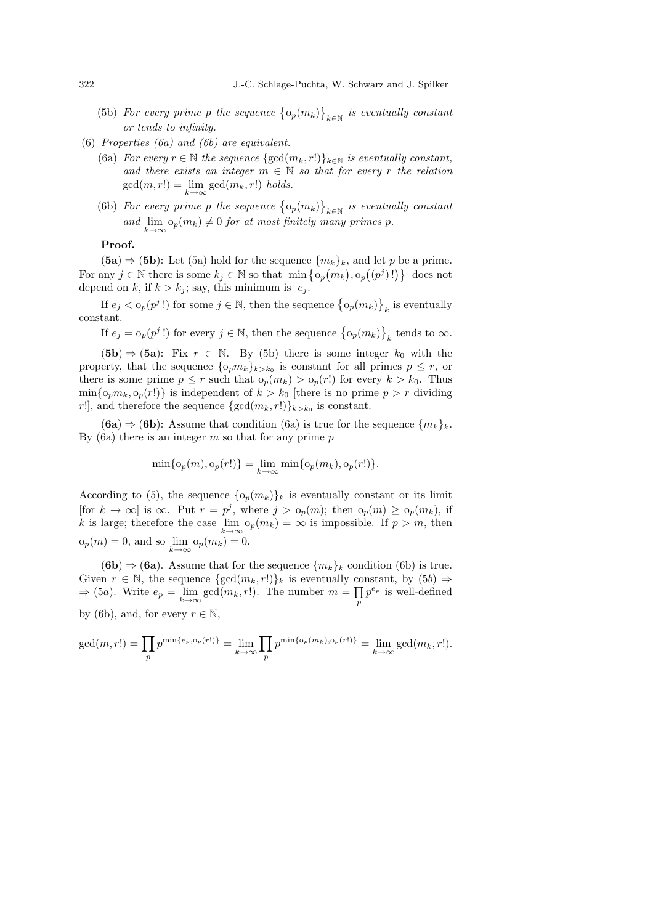- (5b) For every prime p the sequence  $\{o_p(m_k)\}$ ª  $\boldsymbol{h} \in \mathbb{N}$  is eventually constant or tends to infinity.
- (6) Properties (6a) and (6b) are equivalent.
	- (6a) For every  $r \in \mathbb{N}$  the sequence  $\{ \gcd(m_k, r!) \}_{k \in \mathbb{N}}$  is eventually constant, and there exists an integer  $m \in \mathbb{N}$  so that for every r the relation  $gcd(m, r!) = \lim_{k \to \infty} gcd(m_k, r!)$  holds.
	- (6b) For every prime p the sequence  $\{o_p(m_k)\}$ ª  $\boldsymbol{k} \in \mathbb{N}$  is eventually constant and  $\lim_{k\to\infty} o_p(m_k) \neq 0$  for at most finitely many primes p.

#### Proof.

 $(5a)$  ⇒  $(5b)$ : Let  $(5a)$  hold for the sequence  $\{m_k\}_k$ , and let p be a prime.  $(\mathbf{G}\mathbf{a}) \to (\mathbf{G}\mathbf{b})$ . Let  $(\mathbf{J}\mathbf{a})$  hold for the sequence  $\{m_k\}_k$ , and let p be a prime.<br>For any  $j \in \mathbb{N}$  there is some  $k_j \in \mathbb{N}$  so that  $\min\{o_p(m_k), o_p((p^j)!)\}\)$  does not depend on k, if  $k > k<sub>i</sub>$ ; say, this minimum is  $e<sub>i</sub>$ . ª

If  $e_j < o_p(p^j!)$  for some  $j \in \mathbb{N}$ , then the sequence  $\{o_p(m_k)\}$  $_k$  is eventually constant. ª

If  $e_j = o_p(p^j!)$  for every  $j \in \mathbb{N}$ , then the sequence  $\{o_p(m_k)\}$  $_k$  tends to  $\infty.$ 

 $(5b) \Rightarrow (5a)$ : Fix  $r \in \mathbb{N}$ . By (5b) there is some integer  $k_0$  with the property, that the sequence  $\{o_p m_k\}_{k>k_0}$  is constant for all primes  $p \leq r$ , or there is some prime  $p \leq r$  such that  $o_p(m_k) > o_p(r!)$  for every  $k > k_0$ . Thus  $\min\{o_p m_k, o_p(r)\}\$ is independent of  $k > k_0$  [there is no prime  $p > r$  dividing r!], and therefore the sequence  $\{\gcd(m_k, r!) \}_{k > k_0}$  is constant.

 $(6a) \Rightarrow (6b)$ : Assume that condition  $(6a)$  is true for the sequence  $\{m_k\}_k$ . By  $(6a)$  there is an integer m so that for any prime p

$$
\min\{o_p(m), o_p(r!)\} = \lim_{k \to \infty} \min\{o_p(m_k), o_p(r!)\}.
$$

According to (5), the sequence  $\{o_p(m_k)\}_k$  is eventually constant or its limit [for  $k \to \infty$ ] is  $\infty$ . Put  $r = p^j$ , where  $j > o_p(m)$ ; then  $o_p(m) \ge o_p(m_k)$ , if k is large; therefore the case  $\lim_{k \to \infty} o_p(m_k) = \infty$  is impossible. If  $p > m$ , then  $o_p(m) = 0$ , and so  $\lim_{k \to \infty} o_p(m_k) = 0$ .

(6b)  $\Rightarrow$  (6a). Assume that for the sequence  $\{m_k\}_k$  condition (6b) is true. Given  $r \in \mathbb{N}$ , the sequence  $\{\gcd(m_k, r!)\}_k$  is eventually constant, by  $(5b) \Rightarrow$  $\Rightarrow$  (5*a*). Write  $e_p = \lim_{k \to \infty} \gcd(m_k, r!)$ . The number  $m = \prod_p p^{e_p}$  is well-defined by (6b), and, for every  $r \in \mathbb{N}$ ,

$$
\gcd(m, r!) = \prod_{p} p^{\min\{e_p, o_p(r!)\}} = \lim_{k \to \infty} \prod_{p} p^{\min\{o_p(m_k), o_p(r!)\}} = \lim_{k \to \infty} \gcd(m_k, r!).
$$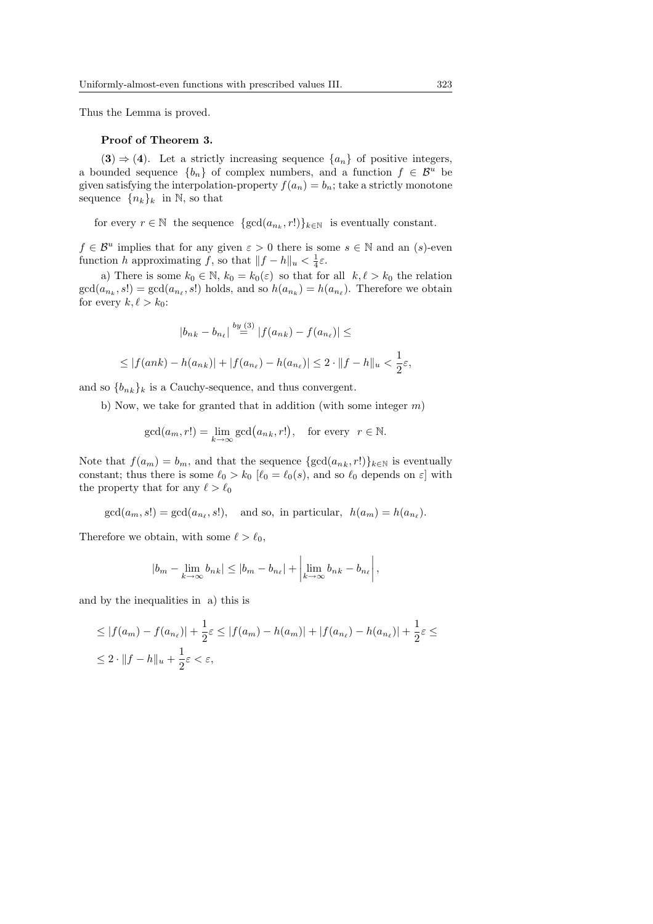Thus the Lemma is proved.

#### Proof of Theorem 3.

(3)  $\Rightarrow$  (4). Let a strictly increasing sequence  $\{a_n\}$  of positive integers, a bounded sequence  ${b_n}$  of complex numbers, and a function  $f \in \mathcal{B}^u$  be given satisfying the interpolation-property  $f(a_n) = b_n$ ; take a strictly monotone sequence  ${n_k}_k$  in N, so that

for every  $r \in \mathbb{N}$  the sequence  $\{ \gcd(a_{n_k}, r!) \}_{k \in \mathbb{N}}$  is eventually constant.

 $f \in \mathcal{B}^u$  implies that for any given  $\varepsilon > 0$  there is some  $s \in \mathbb{N}$  and an  $(s)$ -even function h approximating f, so that  $||f - h||_u < \frac{1}{4}\varepsilon$ .

a) There is some  $k_0 \in \mathbb{N}$ ,  $k_0 = k_0(\varepsilon)$  so that for all  $k, \ell > k_0$  the relation  $gcd(a_{n_k}, s!) = gcd(a_{n_\ell}, s!)$  holds, and so  $h(a_{n_k}) = h(a_{n_\ell})$ . Therefore we obtain for every  $k, \ell > k_0$ :

$$
|b_{nk} - b_{n_\ell}| \stackrel{by (3)}{=} |f(a_{nk}) - f(a_{n_\ell})| \le
$$
  

$$
\leq |f(ank) - h(a_{nk})| + |f(a_{n_\ell}) - h(a_{n_\ell})| \leq 2 \cdot ||f - h||_u < \frac{1}{2}\varepsilon,
$$

and so  ${b_{nk}}_k$  is a Cauchy-sequence, and thus convergent.

b) Now, we take for granted that in addition (with some integer  $m$ )

$$
\gcd(a_m, r!) = \lim_{k \to \infty} \gcd(a_{nk}, r!), \text{ for every } r \in \mathbb{N}.
$$

Note that  $f(a_m) = b_m$ , and that the sequence  $\{\gcd(a_{nk}, r!) \}_{k \in \mathbb{N}}$  is eventually constant; thus there is some  $\ell_0 > k_0$  [ $\ell_0 = \ell_0(s)$ , and so  $\ell_0$  depends on  $\varepsilon$ ] with the property that for any  $\ell > \ell_0$ 

$$
gcd(a_m, s!) = gcd(a_{n_\ell}, s!),
$$
 and so, in particular,  $h(a_m) = h(a_{n_\ell}).$ 

Therefore we obtain, with some  $\ell > \ell_0$ ,

$$
|b_m - \lim_{k \to \infty} b_{nk}| \le |b_m - b_{n_\ell}| + \left| \lim_{k \to \infty} b_{nk} - b_{n_\ell} \right|,
$$

and by the inequalities in a) this is

$$
\leq |f(a_m) - f(a_{n_\ell})| + \frac{1}{2}\varepsilon \leq |f(a_m) - h(a_m)| + |f(a_{n_\ell}) - h(a_{n_\ell})| + \frac{1}{2}\varepsilon \leq
$$
  

$$
\leq 2 \cdot ||f - h||_u + \frac{1}{2}\varepsilon < \varepsilon,
$$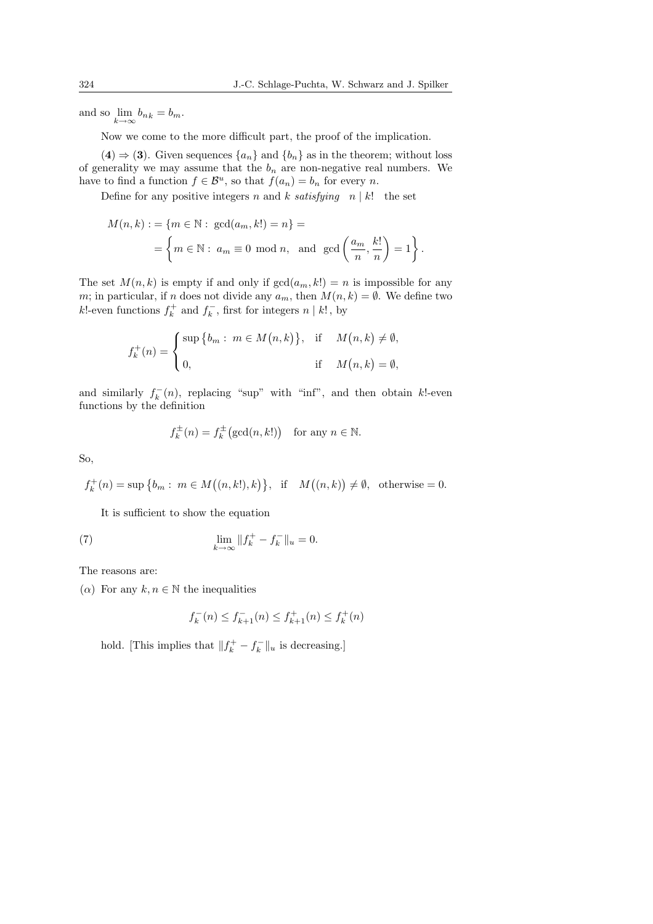and so  $\lim_{k \to \infty} b_{n_k} = b_m$ .

Now we come to the more difficult part, the proof of the implication.

 $(4) \Rightarrow (3)$ . Given sequences  $\{a_n\}$  and  $\{b_n\}$  as in the theorem; without loss of generality we may assume that the  $b_n$  are non-negative real numbers. We have to find a function  $f \in \mathcal{B}^u$ , so that  $f(a_n) = b_n$  for every n.

Define for any positive integers n and k satisfying  $n | k!$  the set

$$
M(n,k) := \{m \in \mathbb{N} : \gcd(a_m, k!) = n\} =
$$
  
= 
$$
\left\{m \in \mathbb{N} : a_m \equiv 0 \mod n, \text{ and } \gcd\left(\frac{a_m}{n}, \frac{k!}{n}\right) = 1\right\}.
$$

The set  $M(n, k)$  is empty if and only if  $gcd(a_m, k!) = n$  is impossible for any m; in particular, if n does not divide any  $a_m$ , then  $M(n, k) = \emptyset$ . We define two k!-even functions  $f_k^+$  and  $f_k^-$ , first for integers  $n \mid k!$ , by

$$
f_k^+(n) = \begin{cases} \sup \{b_m : m \in M(n,k)\}, & \text{if } M(n,k) \neq \emptyset, \\ 0, & \text{if } M(n,k) = \emptyset, \end{cases}
$$

and similarly  $f_k^-(n)$ , replacing "sup" with "inf", and then obtain k!-even functions by the definition

$$
f_k^{\pm}(n) = f_k^{\pm}(\gcd(n, k!)) \quad \text{for any } n \in \mathbb{N}.
$$

So,

$$
f_k^+(n) = \sup \big\{ b_m : m \in M((n,k!),k) \big\}, \text{ if } M((n,k)) \neq \emptyset, \text{ otherwise } = 0.
$$

It is sufficient to show the equation

(7) 
$$
\lim_{k \to \infty} \|f_k^+ - f_k^-\|_u = 0.
$$

The reasons are:

 $(\alpha)$  For any  $k, n \in \mathbb{N}$  the inequalities

$$
f_k^-(n) \le f_{k+1}^-(n) \le f_{k+1}^+(n) \le f_k^+(n)
$$

hold. [This implies that  $||f_k^+ - f_k^-||_u$  is decreasing.]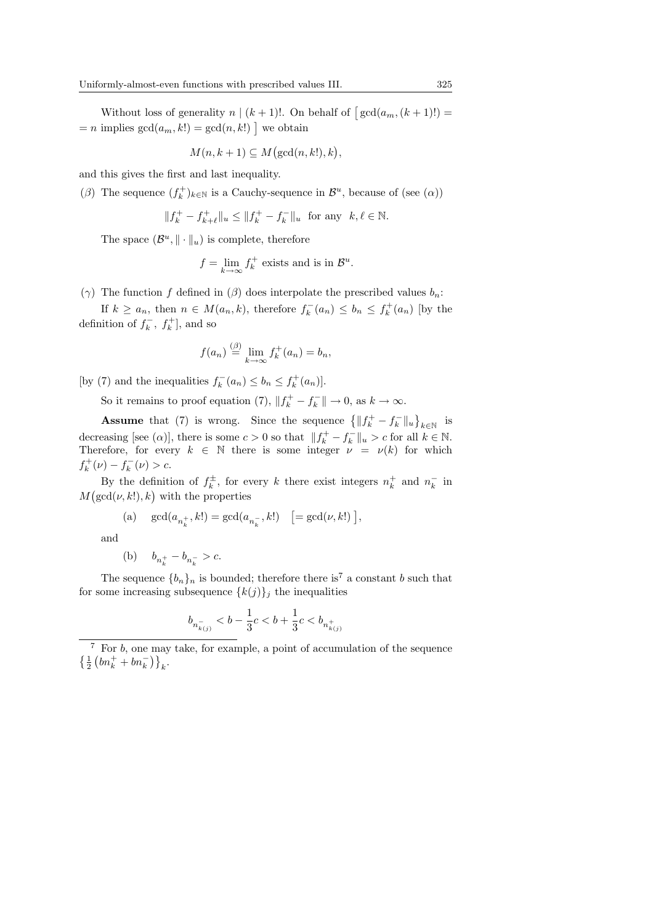Without loss of generality  $n \mid (k+1)!$ . On behalf of  $\lceil \gcd(a_m, (k+1)!) \rfloor$ = n implies  $gcd(a_m, k!) = gcd(n, k!)$  we obtain

$$
M(n, k+1) \subseteq M(\gcd(n, k!), k),
$$

and this gives the first and last inequality.

( $\beta$ ) The sequence  $(f_k^+)_k \in \mathbb{N}$  is a Cauchy-sequence in  $\mathcal{B}^u$ , because of (see  $(\alpha)$ )

$$
||f_k^+ - f_{k+\ell}^+||_u \le ||f_k^+ - f_k^-||_u \text{ for any } k, \ell \in \mathbb{N}.
$$

The space  $(\mathcal{B}^u, \|\cdot\|_u)$  is complete, therefore

$$
f = \lim_{k \to \infty} f_k^+ \text{ exists and is in } \mathcal{B}^u.
$$

(γ) The function f defined in (β) does interpolate the prescribed values  $b_n$ :

If  $k \ge a_n$ , then  $n \in M(a_n, k)$ , therefore  $f_k^-(a_n) \le b_n \le f_k^+(a_n)$  [by the definition of  $f_k^-$ ,  $f_k^+$ , and so

$$
f(a_n) \stackrel{\text{(} \beta)}{=} \lim_{k \to \infty} f_k^+(a_n) = b_n,
$$

[by (7) and the inequalities  $f_k^-(a_n) \leq b_n \leq f_k^+(a_n)$ ].

So it remains to proof equation (7),  $||f_k^+ - f_k^-|| \to 0$ , as  $k \to \infty$ .

**Assume** that (7) is wrong. Since the sequence  $\{\|f_k^+ - f_k^-\|_u\}$ ª  $k \in \mathbb{N}$  is decreasing [see ( $\alpha$ )], there is some  $c > 0$  so that  $||f_k^+ - f_k^-||_u > c$  for all  $k \in \mathbb{N}$ . Therefore, for every  $k \in \mathbb{N}$  there is some integer  $\nu = \nu(k)$  for which  $f_k^+(\nu) - f_k^-(\nu) > c.$ 

By the definition of  $f_k^{\pm}$ , for every k there exist integers  $n_k^+$  and  $n_k^-$  in M By the definition of  $f_k$ , for every  $(\gcd(\nu, k!, k,k))$  with the properties

(a) 
$$
gcd(a_{n_k^+}, k!) = gcd(a_{n_k^-}, k!) \quad [ = gcd(\nu, k!)],
$$

and

$$
\text{(b)}\quad \ b_{n_k^+}-b_{n_k^-}>c.
$$

The sequence  ${b_n}_n$  is bounded; therefore there is<sup>7</sup> a constant b such that for some increasing subsequence  $\{k(j)\}_j$  the inequalities

$$
b_{n_{k(j)}^-}
$$

<sup>7</sup> For b, one may take, for example, a point of accumulation of the sequence For *b*, one may<br> $\left\{\frac{1}{2}\left(bn_k^+ + bn_k^-\right)\right\}_k$ .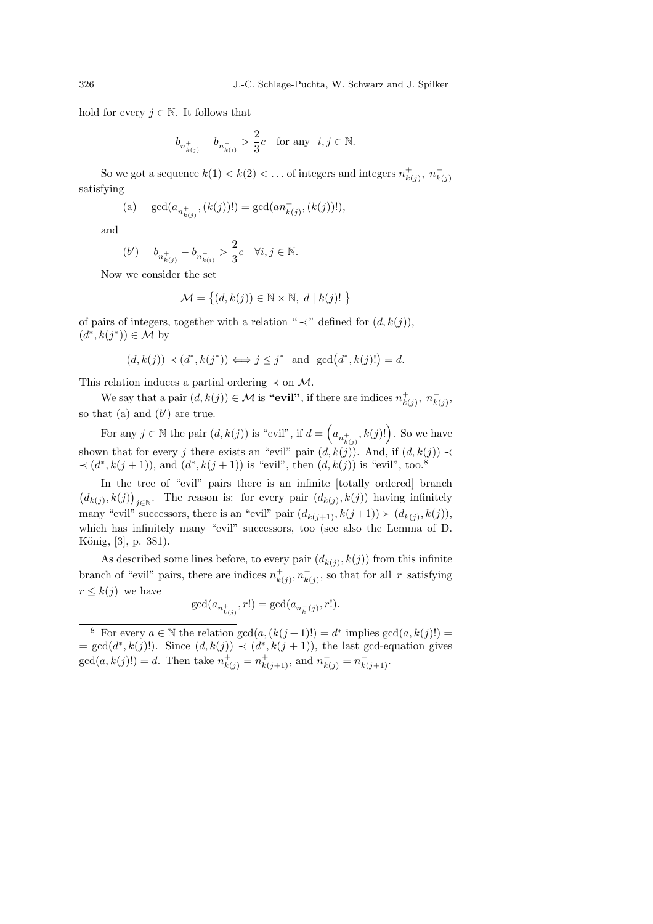hold for every  $j \in \mathbb{N}$ . It follows that

$$
b_{n_{k(j)}^+}-b_{n_{k(i)}^-}>\frac23c\quad\text{for any }\;i,j\in\mathbb{N}.
$$

So we got a sequence  $k(1) < k(2) < \ldots$  of integers and integers  $n_{k(j)}^+$ ,  $n_{k(j)}^$ satisfying

(a) 
$$
gcd(a_{n_{k(j)}^+}, (k(j))!) = gcd(an_{k(j)}^-, (k(j))!),
$$

and

$$
(b') \t b_{n_{k(j)}^+} - b_{n_{k(i)}^-} > \frac{2}{3}c \quad \forall i, j \in \mathbb{N}.
$$

Now we consider the set

$$
\mathcal{M} = \left\{ (d, k(j)) \in \mathbb{N} \times \mathbb{N}, \ d \mid k(j)! \right\}
$$

of pairs of integers, together with a relation "  $\prec$ " defined for  $(d, k(j))$ ,  $(d^*, k(j^*)) \in \mathcal{M}$  by

$$
(d, k(j)) \prec (d^*, k(j^*)) \Longleftrightarrow j \leq j^*
$$
 and  $gcd(d^*, k(j)!) = d$ .

This relation induces a partial ordering  $\prec$  on M.

We say that a pair  $(d, k(j)) \in \mathcal{M}$  is "evil", if there are indices  $n_{k(j)}^+$ ,  $n_{k(j)}^-$ , so that (a) and  $(b')$  are true.  $\overline{a}$ 

For any  $j \in \mathbb{N}$  the pair  $(d, k(j))$  is "evil", if  $d =$  $(a_{n^+_{k(j)}}, k(j)!)$ . So we have shown that for every j there exists an "evil" pair  $(d, k(j))$ . And, if  $(d, k(j)) \prec$  $\prec (d^*, k(j + 1))$ , and  $(d^*, k(j + 1))$  is "evil", then  $(d, k(j))$  is "evil", too.<sup>8</sup>

In the tree of "evil" pairs there is an infinite  $[totally ordered]$  branch ¡  $(d_{k(j)}, k(j))_{j \in \mathbb{N}}$ . The reason is: for every pair  $(d_{k(j)}, k(j))$  having infinitely many "evil" successors, there is an "evil" pair  $(d_{k(j+1)}, k(j+1)) \succ (d_{k(j)}, k(j)),$ which has infinitely many "evil" successors, too (see also the Lemma of D. König, [3], p. 381).

As described some lines before, to every pair  $(d_{k(j)}, k(j))$  from this infinite branch of "evil" pairs, there are indices  $n_{k(j)}^+, n_{k(j)}^-,$  so that for all r satisfying  $r \leq k(j)$  we have

$$
\gcd(a_{n_{k(j)}^+},r!)=\gcd(a_{n_k^-(j)},r!).
$$

<sup>&</sup>lt;sup>8</sup> For every  $a \in \mathbb{N}$  the relation  $gcd(a, (k(j+1)!)) = d^*$  implies  $gcd(a, k(j)!) =$  $= \gcd(d^*, k(j)!).$  Since  $(d, k(j)) \prec (d^*, k(j+1)),$  the last gcd-equation gives  $gcd(a, k(j)) = d.$  Then take  $n_{k(j)}^{+} = n_{k(j+1)}^{+}$ , and  $n_{k(j)}^{-} = n_{k(j+1)}^{-}$ .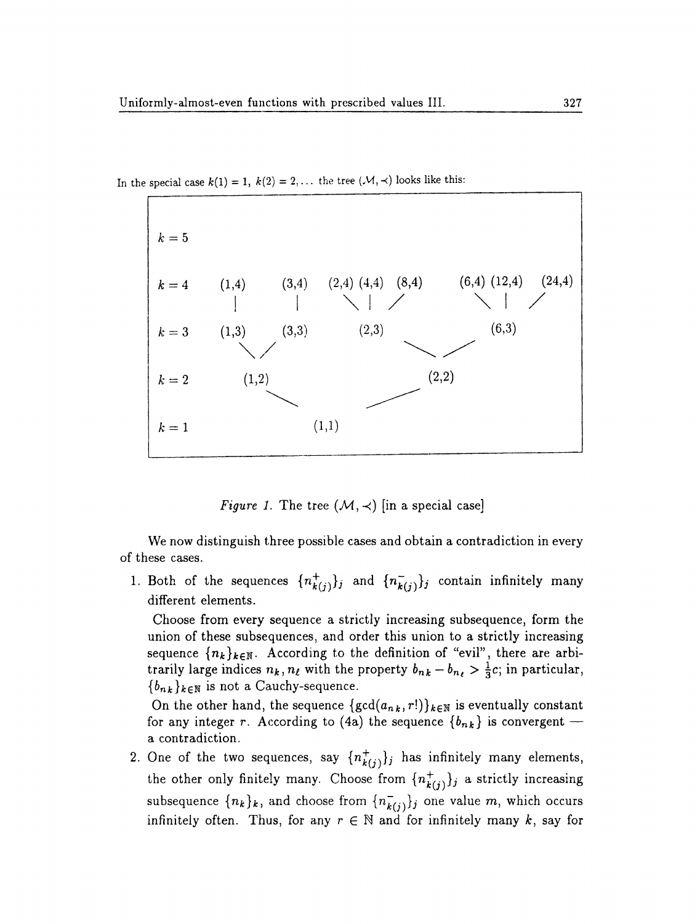

In the special case  $k(1) = 1$ ,  $k(2) = 2,...$  the tree  $(\mathcal{M}, \prec)$  looks like this:

*Figure 1.* The tree  $(M, \prec)$  [in a special case]

We now distinguish three possible cases and obtain a contradiction in every of these cases.

1. Both of the sequences  $\{n_{k(j)}^+\}_j$  and  $\{n_{k(j)}^-\}_j$  contain infinitely many different elements.

Choose from every sequence a strictly increasing subsequence, form the union of these subsequences, and order this union to a strictly increasing sequence  $\{n_k\}_{k\in\mathbb{N}}$ . According to the definition of "evil", there are arbitrarily large indices  $n_k$ ,  $n_\ell$  with the property  $b_{nk} - b_{n_\ell} > \frac{1}{3}c$ ; in particular,  ${b_{nk}}_{k\in\mathbb{N}}$  is not a Cauchy-sequence.

On the other hand, the sequence  $\{gcd(a_{nk}, r!) \}_{k \in \mathbb{N}}$  is eventually constant for any integer r. According to (4a) the sequence  $\{b_{n,k}\}\$ is convergent a contradiction.

2. One of the two sequences, say  $\{n_{k(j)}^+\}$  has infinitely many elements, the other only finitely many. Choose from  $\{n_{k(j)}^+\}_j$  a strictly increasing subsequence  $\{n_k\}_k$ , and choose from  $\{\overline{n_{k(j)}}\}_j$  one value m, which occurs infinitely often. Thus, for any  $r \in \mathbb{N}$  and for infinitely many k, say for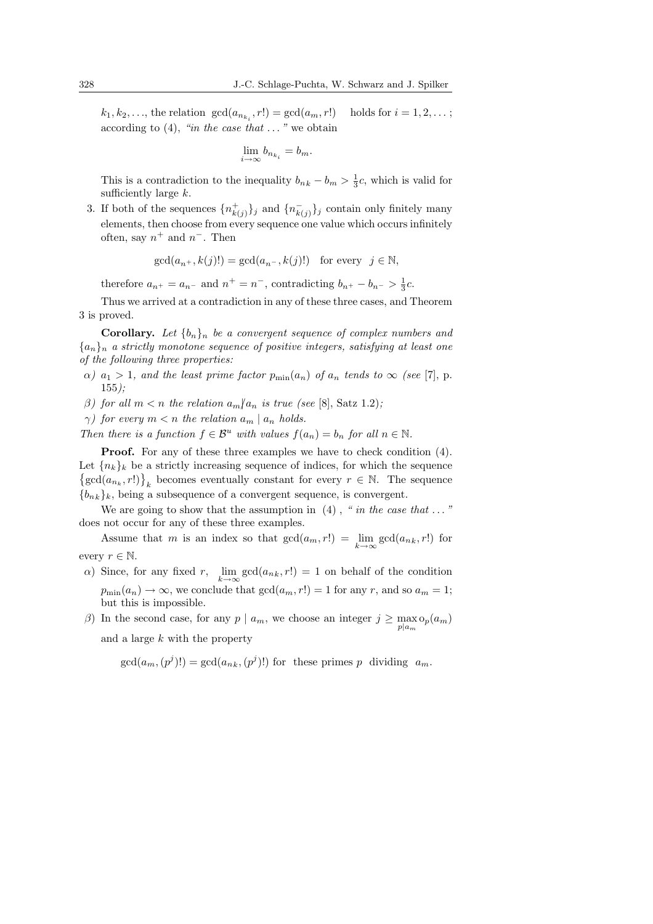$k_1, k_2, ...,$  the relation  $gcd(a_{n_{k_i}}, r!) = gcd(a_m, r!)$  holds for  $i = 1, 2, ...$ ; according to  $(4)$ , "in the case that ..." we obtain

$$
\lim_{i \to \infty} b_{n_{k_i}} = b_m.
$$

This is a contradiction to the inequality  $b_{nk} - b_m > \frac{1}{3}c$ , which is valid for sufficiently large  $k$ .

3. If both of the sequences  $\{n_{k(j)}^+\}_j$  and  $\{n_{k(j)}^-\}_j$  contain only finitely many elements, then choose from every sequence one value which occurs infinitely often, say  $n^+$  and  $n^-$ . Then

$$
\gcd(a_{n+}, k(j)!) = \gcd(a_{n-}, k(j)!)
$$
 for every  $j \in \mathbb{N}$ ,

therefore  $a_{n^+} = a_{n^-}$  and  $n^+ = n^-$ , contradicting  $b_{n^+} - b_{n^-} > \frac{1}{3}c$ .

Thus we arrived at a contradiction in any of these three cases, and Theorem 3 is proved.

**Corollary.** Let  $\{b_n\}_n$  be a convergent sequence of complex numbers and  ${a_n}_n$  a strictly monotone sequence of positive integers, satisfying at least one of the following three properties:

- $\alpha$ )  $a_1 > 1$ , and the least prime factor  $p_{\min}(a_n)$  of  $a_n$  tends to  $\infty$  (see [7], p.  $155$ .
- β) for all  $m < n$  the relation  $a_m/a_n$  is true (see [8], Satz 1.2);
- $\gamma$ ) for every  $m < n$  the relation  $a_m \mid a_n$  holds.

Then there is a function  $f \in \mathcal{B}^u$  with values  $f(a_n) = b_n$  for all  $n \in \mathbb{N}$ .

**Proof.** For any of these three examples we have to check condition (4). Let  ${n_k}_k$  be a strictly increasing sequence of indices, for which the sequence et  $\{n_k\}_{k}$  be a strictly increasing sequence of moldes, for which the sequence  $\gcd(a_{n_k}, r!)$ , becomes eventually constant for every  $r \in \mathbb{N}$ . The sequence  ${b_{nk}}_k$ , being a subsequence of a convergent sequence, is convergent.

We are going to show that the assumption in  $(4)$ , " in the case that ..." does not occur for any of these three examples.

Assume that m is an index so that  $gcd(a_m, r!) = \lim_{k \to \infty} gcd(a_{nk}, r!)$  for every  $r \in \mathbb{N}$ .

- a) Since, for any fixed r,  $\lim_{k \to \infty} \gcd(a_{nk}, r!) = 1$  on behalf of the condition  $p_{\min}(a_n) \to \infty$ , we conclude that  $gcd(a_m, r!) = 1$  for any r, and so  $a_m = 1$ ; but this is impossible.
- β) In the second case, for any  $p \mid a_m$ , we choose an integer  $j \ge \max_{p \mid a_m} o_p(a_m)$ and a large k with the property

$$
gcd(a_m, (p^j)!)
$$
 =  $gcd(a_{nk}, (p^j)!)$  for these primes p dividing  $a_m$ .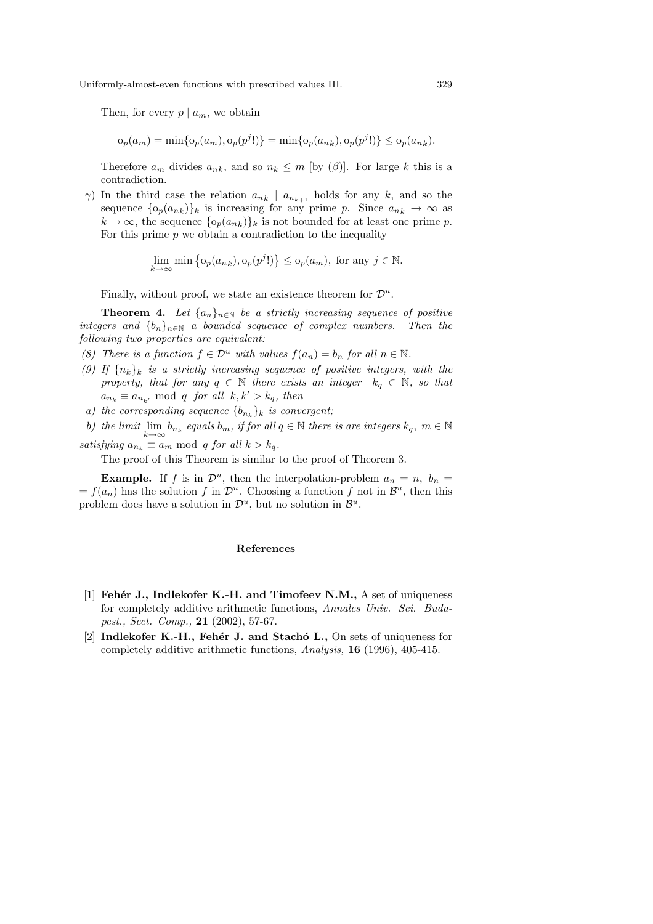Then, for every  $p \mid a_m$ , we obtain

$$
o_p(a_m) = \min\{o_p(a_m), o_p(p^j!)\} = \min\{o_p(a_{nk}), o_p(p^j!)\} \le o_p(a_{nk}).
$$

Therefore  $a_m$  divides  $a_{nk}$ , and so  $n_k \leq m$  [by  $(\beta)$ ]. For large k this is a contradiction.

 $γ$ ) In the third case the relation  $a_{nk} \mid a_{n_{k+1}}$  holds for any k, and so the sequence  $\{o_p(a_{n_k})\}_k$  is increasing for any prime p. Since  $a_{n_k} \to \infty$  as  $k \to \infty$ , the sequence  $\{o_p(a_{nk})\}_k$  is not bounded for at least one prime p. For this prime  $p$  we obtain a contradiction to the inequality

$$
\lim_{k \to \infty} \min \left\{ o_p(a_{nk}), o_p(p^j!) \right\} \le o_p(a_m), \text{ for any } j \in \mathbb{N}.
$$

Finally, without proof, we state an existence theorem for  $\mathcal{D}^u$ .

**Theorem 4.** Let  $\{a_n\}_{n\in\mathbb{N}}$  be a strictly increasing sequence of positive integers and  ${b_n}_{n\in\mathbb{N}}$  a bounded sequence of complex numbers. Then the following two properties are equivalent:

- (8) There is a function  $f \in \mathcal{D}^u$  with values  $f(a_n) = b_n$  for all  $n \in \mathbb{N}$ .
- (9) If  $\{n_k\}_k$  is a strictly increasing sequence of positive integers, with the property, that for any  $q \in \mathbb{N}$  there exists an integer  $k_q \in \mathbb{N}$ , so that  $a_{n_k} \equiv a_{n_{k'}} \mod q$  for all  $k, k' > k_q$ , then
- a) the corresponding sequence  ${b_{n_k}}_k$  is convergent;
- b) the limit  $\lim_{k\to\infty} b_{n_k}$  equals  $b_m$ , if for all  $q \in \mathbb{N}$  there is are integers  $k_q$ ,  $m \in \mathbb{N}$ satisfying  $a_{n_k} \equiv a_m \mod q$  for all  $k > k_q$ .

The proof of this Theorem is similar to the proof of Theorem 3.

**Example.** If f is in  $\mathcal{D}^u$ , then the interpolation-problem  $a_n = n$ ,  $b_n =$  $= f(a_n)$  has the solution f in  $\mathcal{D}^u$ . Choosing a function f not in  $\mathcal{B}^u$ , then this problem does have a solution in  $\mathcal{D}^u$ , but no solution in  $\mathcal{B}^u$ .

#### References

- [1] Feher J., Indlekofer K.-H. and Timofeev N.M.,  $A$  set of uniqueness for completely additive arithmetic functions, Annales Univ. Sci. Budapest., Sect. Comp., 21 (2002), 57-67.
- [2] Indlekofer K.-H., Fehér J. and Stacho L., On sets of uniqueness for completely additive arithmetic functions, Analysis, 16 (1996), 405-415.